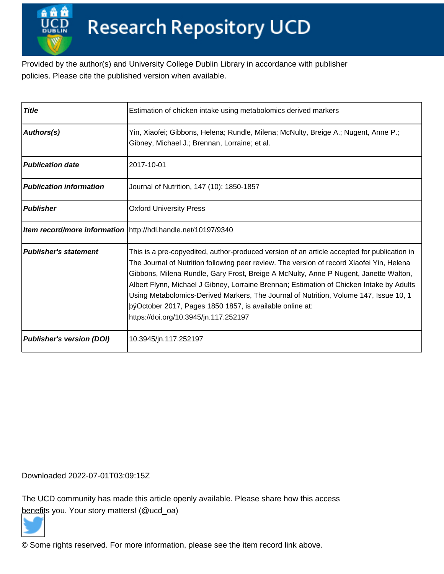Provided by the author(s) and University College Dublin Library in accordance with publisher policies. Please cite the published version when available.

| <b>Title</b>                     | Estimation of chicken intake using metabolomics derived markers                                                                                                                                                                                                                                                                                                                                                                                                                                                                                                             |
|----------------------------------|-----------------------------------------------------------------------------------------------------------------------------------------------------------------------------------------------------------------------------------------------------------------------------------------------------------------------------------------------------------------------------------------------------------------------------------------------------------------------------------------------------------------------------------------------------------------------------|
| <b>Authors(s)</b>                | Yin, Xiaofei; Gibbons, Helena; Rundle, Milena; McNulty, Breige A.; Nugent, Anne P.;<br>Gibney, Michael J.; Brennan, Lorraine; et al.                                                                                                                                                                                                                                                                                                                                                                                                                                        |
| <b>Publication date</b>          | 2017-10-01                                                                                                                                                                                                                                                                                                                                                                                                                                                                                                                                                                  |
| <b>Publication information</b>   | Journal of Nutrition, 147 (10): 1850-1857                                                                                                                                                                                                                                                                                                                                                                                                                                                                                                                                   |
| <b>Publisher</b>                 | <b>Oxford University Press</b>                                                                                                                                                                                                                                                                                                                                                                                                                                                                                                                                              |
|                                  | Item record/more information   http://hdl.handle.net/10197/9340                                                                                                                                                                                                                                                                                                                                                                                                                                                                                                             |
| <b>Publisher's statement</b>     | This is a pre-copyedited, author-produced version of an article accepted for publication in<br>The Journal of Nutrition following peer review. The version of record Xiaofei Yin, Helena<br>Gibbons, Milena Rundle, Gary Frost, Breige A McNulty, Anne P Nugent, Janette Walton,<br>Albert Flynn, Michael J Gibney, Lorraine Brennan; Estimation of Chicken Intake by Adults<br>Using Metabolomics-Derived Markers, The Journal of Nutrition, Volume 147, Issue 10, 1<br>by October 2017, Pages 1850 1857, is available online at:<br>https://doi.org/10.3945/jn.117.252197 |
| <b>Publisher's version (DOI)</b> | 10.3945/jn.117.252197                                                                                                                                                                                                                                                                                                                                                                                                                                                                                                                                                       |

Downloaded 2022-07-01T03:09:15Z

The UCD community has made this article openly available. Please share how this access [benefit](https://twitter.com/intent/tweet?via=ucd_oa&text=DOI%3A10.3945%2Fjn.117.252197&url=http%3A%2F%2Fhdl.handle.net%2F10197%2F9340)s you. Your story matters! (@ucd\_oa)



© Some rights reserved. For more information, please see the item record link above.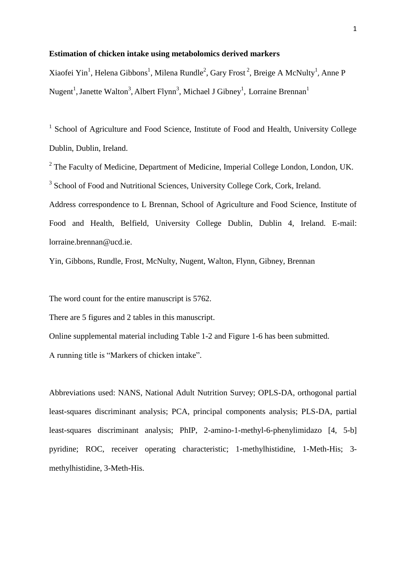## **Estimation of chicken intake using metabolomics derived markers**

Xiaofei Yin<sup>1</sup>, Helena Gibbons<sup>1</sup>, Milena Rundle<sup>2</sup>, Gary Frost<sup>2</sup>, Breige A McNulty<sup>1</sup>, Anne P Nugent<sup>1</sup>, Janette Walton<sup>3</sup>, Albert Flynn<sup>3</sup>, Michael J Gibney<sup>1</sup>, Lorraine Brennan<sup>1</sup>

<sup>1</sup> School of Agriculture and Food Science, Institute of Food and Health, University College Dublin, Dublin, Ireland.

 $2$  The Faculty of Medicine, Department of Medicine, Imperial College London, London, UK.

<sup>3</sup> School of Food and Nutritional Sciences, University College Cork, Cork, Ireland.

Address correspondence to L Brennan, School of Agriculture and Food Science, Institute of Food and Health, Belfield, University College Dublin, Dublin 4, Ireland. E-mail: lorraine.brennan@ucd.ie.

Yin, Gibbons, Rundle, Frost, McNulty, Nugent, Walton, Flynn, Gibney, Brennan

The word count for the entire manuscript is 5762.

There are 5 figures and 2 tables in this manuscript.

Online supplemental material including Table 1-2 and Figure 1-6 has been submitted.

A running title is "Markers of chicken intake".

Abbreviations used: NANS, National Adult Nutrition Survey; OPLS-DA, orthogonal partial least-squares discriminant analysis; PCA, principal components analysis; PLS-DA, partial least-squares discriminant analysis; PhIP, 2-amino-1-methyl-6-phenylimidazo [4, 5-b] pyridine; ROC, receiver operating characteristic; 1-methylhistidine, 1-Meth-His; 3 methylhistidine, 3-Meth-His.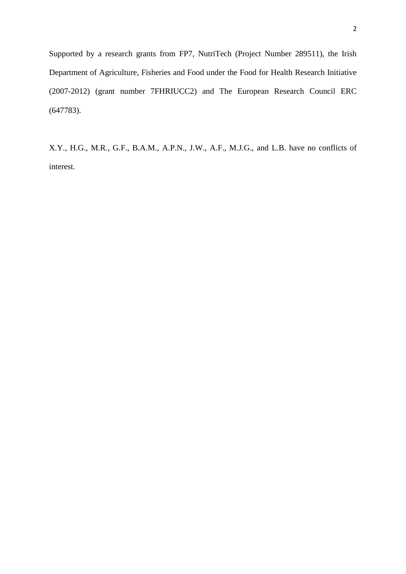Supported by a research grants from FP7, NutriTech (Project Number 289511), the Irish Department of Agriculture, Fisheries and Food under the Food for Health Research Initiative (2007-2012) (grant number 7FHRIUCC2) and The European Research Council ERC (647783).

X.Y., H.G., M.R., G.F., B.A.M., A.P.N., J.W., A.F., M.J.G., and L.B. have no conflicts of interest.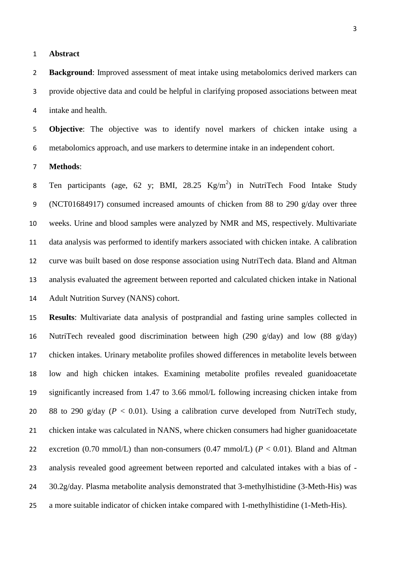**Abstract**

 **Background**: Improved assessment of meat intake using metabolomics derived markers can provide objective data and could be helpful in clarifying proposed associations between meat intake and health.

 **Objective**: The objective was to identify novel markers of chicken intake using a metabolomics approach, and use markers to determine intake in an independent cohort.

**Methods**:

8 Ten participants (age, 62 y; BMI, 28.25  $Kg/m<sup>2</sup>$ ) in NutriTech Food Intake Study (NCT01684917) consumed increased amounts of chicken from 88 to 290 g/day over three weeks. Urine and blood samples were analyzed by NMR and MS, respectively. Multivariate data analysis was performed to identify markers associated with chicken intake. A calibration curve was built based on dose response association using NutriTech data. Bland and Altman analysis evaluated the agreement between reported and calculated chicken intake in National Adult Nutrition Survey (NANS) cohort.

 **Results**: Multivariate data analysis of postprandial and fasting urine samples collected in NutriTech revealed good discrimination between high (290 g/day) and low (88 g/day) chicken intakes. Urinary metabolite profiles showed differences in metabolite levels between low and high chicken intakes. Examining metabolite profiles revealed guanidoacetate significantly increased from 1.47 to 3.66 mmol/L following increasing chicken intake from 20 88 to 290 g/day  $(P < 0.01)$ . Using a calibration curve developed from NutriTech study, chicken intake was calculated in NANS, where chicken consumers had higher guanidoacetate 22 excretion (0.70 mmol/L) than non-consumers (0.47 mmol/L)  $(P < 0.01)$ . Bland and Altman analysis revealed good agreement between reported and calculated intakes with a bias of - 30.2g/day. Plasma metabolite analysis demonstrated that 3-methylhistidine (3-Meth-His) was a more suitable indicator of chicken intake compared with 1-methylhistidine (1-Meth-His).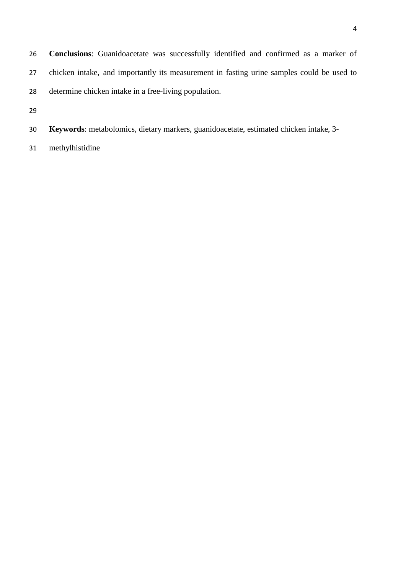- **Conclusions**: Guanidoacetate was successfully identified and confirmed as a marker of chicken intake, and importantly its measurement in fasting urine samples could be used to determine chicken intake in a free-living population.
- 
- **Keywords**: metabolomics, dietary markers, guanidoacetate, estimated chicken intake, 3-
- methylhistidine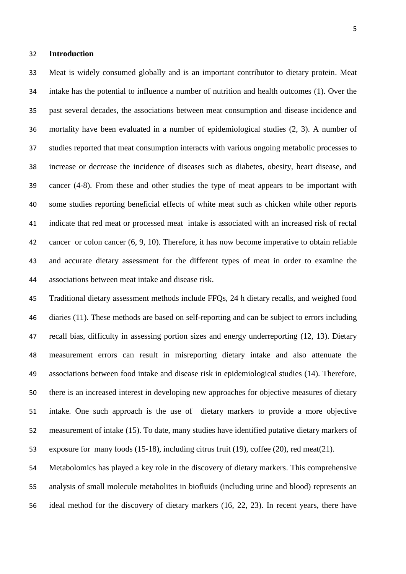#### **Introduction**

 Meat is widely consumed globally and is an important contributor to dietary protein. Meat intake has the potential to influence a number of nutrition and health outcomes (1). Over the past several decades, the associations between meat consumption and disease incidence and mortality have been evaluated in a number of epidemiological studies (2, 3). A number of studies reported that meat consumption interacts with various ongoing metabolic processes to increase or decrease the incidence of diseases such as diabetes, obesity, heart disease, and cancer (4-8). From these and other studies the type of meat appears to be important with some studies reporting beneficial effects of white meat such as chicken while other reports indicate that red meat or processed meat intake is associated with an increased risk of rectal cancer or colon cancer (6, 9, 10). Therefore, it has now become imperative to obtain reliable and accurate dietary assessment for the different types of meat in order to examine the associations between meat intake and disease risk.

 Traditional dietary assessment methods include FFQs, 24 h dietary recalls, and weighed food diaries (11). These methods are based on self-reporting and can be subject to errors including recall bias, difficulty in assessing portion sizes and energy underreporting (12, 13). Dietary measurement errors can result in misreporting dietary intake and also attenuate the associations between food intake and disease risk in epidemiological studies (14). Therefore, there is an increased interest in developing new approaches for objective measures of dietary intake. One such approach is the use of dietary markers to provide a more objective measurement of intake (15). To date, many studies have identified putative dietary markers of exposure for many foods (15-18), including citrus fruit (19), coffee (20), red meat(21).

 Metabolomics has played a key role in the discovery of dietary markers. This comprehensive analysis of small molecule metabolites in biofluids (including urine and blood) represents an ideal method for the discovery of dietary markers (16, 22, 23). In recent years, there have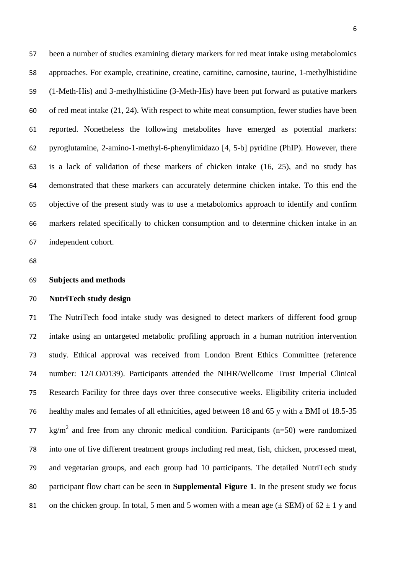been a number of studies examining dietary markers for red meat intake using metabolomics approaches. For example, creatinine, creatine, carnitine, carnosine, taurine, 1-methylhistidine (1-Meth-His) and 3-methylhistidine (3-Meth-His) have been put forward as putative markers of red meat intake (21, 24). With respect to white meat consumption, fewer studies have been reported. Nonetheless the following metabolites have emerged as potential markers: pyroglutamine, 2-amino-1-methyl-6-phenylimidazo [4, 5-b] pyridine (PhIP). However, there is a lack of validation of these markers of chicken intake (16, 25), and no study has demonstrated that these markers can accurately determine chicken intake. To this end the objective of the present study was to use a metabolomics approach to identify and confirm markers related specifically to chicken consumption and to determine chicken intake in an independent cohort.

### **Subjects and methods**

#### **NutriTech study design**

 The NutriTech food intake study was designed to detect markers of different food group intake using an untargeted metabolic profiling approach in a human nutrition intervention study. Ethical approval was received from London Brent Ethics Committee (reference number: 12/LO/0139). Participants attended the NIHR/Wellcome Trust Imperial Clinical Research Facility for three days over three consecutive weeks. Eligibility criteria included healthy males and females of all ethnicities, aged between 18 and 65 y with a BMI of 18.5-35 77 kg/m<sup>2</sup> and free from any chronic medical condition. Participants (n=50) were randomized into one of five different treatment groups including red meat, fish, chicken, processed meat, and vegetarian groups, and each group had 10 participants. The detailed NutriTech study participant flow chart can be seen in **Supplemental Figure 1**. In the present study we focus 81 on the chicken group. In total, 5 men and 5 women with a mean age  $(\pm$  SEM) of 62  $\pm$  1 y and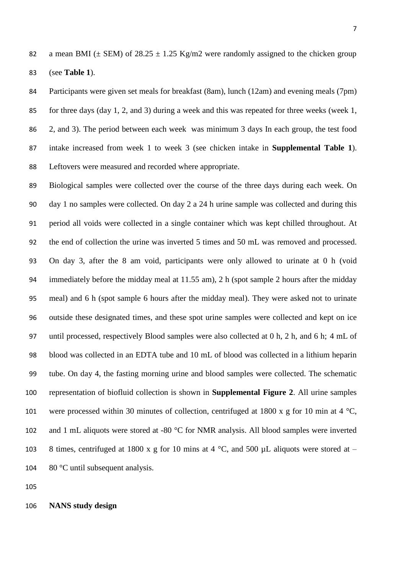82 a mean BMI ( $\pm$  SEM) of 28.25  $\pm$  1.25 Kg/m2 were randomly assigned to the chicken group (see **Table 1**).

 Participants were given set meals for breakfast (8am), lunch (12am) and evening meals (7pm) for three days (day 1, 2, and 3) during a week and this was repeated for three weeks (week 1, 2, and 3). The period between each week was minimum 3 days In each group, the test food intake increased from week 1 to week 3 (see chicken intake in **Supplemental Table 1**). Leftovers were measured and recorded where appropriate.

 Biological samples were collected over the course of the three days during each week. On day 1 no samples were collected. On day 2 a 24 h urine sample was collected and during this period all voids were collected in a single container which was kept chilled throughout. At the end of collection the urine was inverted 5 times and 50 mL was removed and processed. On day 3, after the 8 am void, participants were only allowed to urinate at 0 h (void immediately before the midday meal at 11.55 am), 2 h (spot sample 2 hours after the midday meal) and 6 h (spot sample 6 hours after the midday meal). They were asked not to urinate outside these designated times, and these spot urine samples were collected and kept on ice until processed, respectively Blood samples were also collected at 0 h, 2 h, and 6 h; 4 mL of blood was collected in an EDTA tube and 10 mL of blood was collected in a lithium heparin tube. On day 4, the fasting morning urine and blood samples were collected. The schematic representation of biofluid collection is shown in **Supplemental Figure 2**. All urine samples 101 were processed within 30 minutes of collection, centrifuged at 1800 x g for 10 min at 4  $\degree$ C, and 1 mL aliquots were stored at -80 °C for NMR analysis. All blood samples were inverted 103 8 times, centrifuged at 1800 x g for 10 mins at 4  $\degree$ C, and 500 µL aliquots were stored at –  $80^{\circ}$ C until subsequent analysis.

**NANS study design**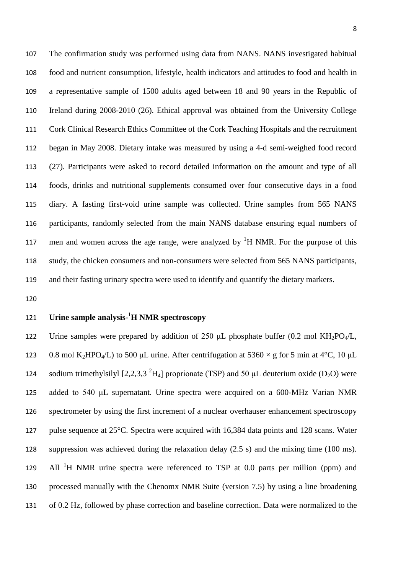The confirmation study was performed using data from NANS. NANS investigated habitual food and nutrient consumption, lifestyle, health indicators and attitudes to food and health in a representative sample of 1500 adults aged between 18 and 90 years in the Republic of Ireland during 2008-2010 (26). Ethical approval was obtained from the University College Cork Clinical Research Ethics Committee of the Cork Teaching Hospitals and the recruitment began in May 2008. Dietary intake was measured by using a 4-d semi-weighed food record (27). Participants were asked to record detailed information on the amount and type of all foods, drinks and nutritional supplements consumed over four consecutive days in a food diary. A fasting first-void urine sample was collected. Urine samples from 565 NANS participants, randomly selected from the main NANS database ensuring equal numbers of 117 men and women across the age range, were analyzed by  ${}^{1}H$  NMR. For the purpose of this study, the chicken consumers and non-consumers were selected from 565 NANS participants, and their fasting urinary spectra were used to identify and quantify the dietary markers.

# 121 Urine sample analysis-<sup>1</sup>H NMR spectroscopy

122 Urine samples were prepared by addition of 250  $\mu$ L phosphate buffer (0.2 mol KH<sub>2</sub>PO<sub>4</sub>/L, 123 0.8 mol K<sub>2</sub>HPO<sub>4</sub>/L) to 500 μL urine. After centrifugation at 5360  $\times$  g for 5 min at 4<sup>o</sup>C, 10 μL 124 sodium trimethylsilyl [2,2,3,3<sup>2</sup>H<sub>4</sub>] proprionate (TSP) and 50  $\mu$ L deuterium oxide (D<sub>2</sub>O) were added to 540 μL supernatant. Urine spectra were acquired on a 600-MHz Varian NMR spectrometer by using the first increment of a nuclear overhauser enhancement spectroscopy pulse sequence at 25°C. Spectra were acquired with 16,384 data points and 128 scans. Water suppression was achieved during the relaxation delay (2.5 s) and the mixing time (100 ms). 129 All  $\mathrm{^{1}H}$  NMR urine spectra were referenced to TSP at 0.0 parts per million (ppm) and processed manually with the Chenomx NMR Suite (version 7.5) by using a line broadening of 0.2 Hz, followed by phase correction and baseline correction. Data were normalized to the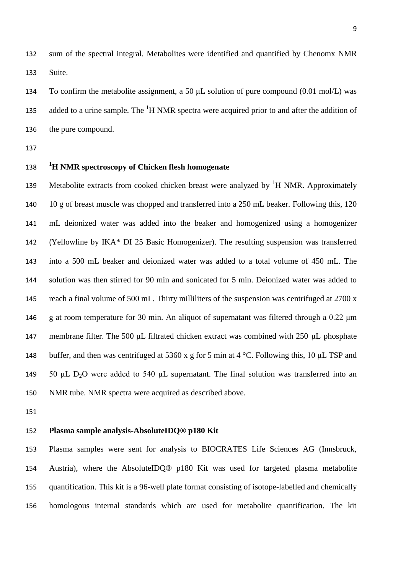sum of the spectral integral. Metabolites were identified and quantified by Chenomx NMR Suite.

 To confirm the metabolite assignment, a 50 μL solution of pure compound (0.01 mol/L) was 135 added to a urine sample. The  ${}^{1}H$  NMR spectra were acquired prior to and after the addition of the pure compound.

# **1 H NMR spectroscopy of Chicken flesh homogenate**

139 Metabolite extracts from cooked chicken breast were analyzed by  ${}^{1}H$  NMR. Approximately 10 g of breast muscle was chopped and transferred into a 250 mL beaker. Following this, 120 mL deionized water was added into the beaker and homogenized using a homogenizer (Yellowline by IKA\* DI 25 Basic Homogenizer). The resulting suspension was transferred into a 500 mL beaker and deionized water was added to a total volume of 450 mL. The solution was then stirred for 90 min and sonicated for 5 min. Deionized water was added to reach a final volume of 500 mL. Thirty milliliters of the suspension was centrifuged at 2700 x 146 g at room temperature for 30 min. An aliquot of supernatant was filtered through a 0.22 um membrane filter. The 500 μL filtrated chicken extract was combined with 250 μL phosphate 148 buffer, and then was centrifuged at 5360 x g for 5 min at 4 °C. Following this, 10  $\mu$ L TSP and 149 50 μL D<sub>2</sub>O were added to 540 μL supernatant. The final solution was transferred into an NMR tube. NMR spectra were acquired as described above.

## **Plasma sample analysis-AbsoluteIDQ® p180 Kit**

 Plasma samples were sent for analysis to BIOCRATES Life Sciences AG (Innsbruck, Austria), where the AbsoluteIDQ® p180 Kit was used for targeted plasma metabolite quantification. This kit is a 96-well plate format consisting of isotope-labelled and chemically homologous internal standards which are used for metabolite quantification. The kit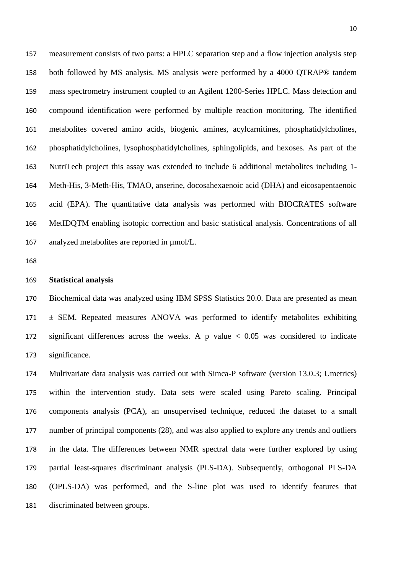measurement consists of two parts: a HPLC separation step and a flow injection analysis step both followed by MS analysis. MS analysis were performed by a 4000 QTRAP® tandem mass spectrometry instrument coupled to an Agilent 1200-Series HPLC. Mass detection and compound identification were performed by multiple reaction monitoring. The identified metabolites covered amino acids, biogenic amines, acylcarnitines, phosphatidylcholines, phosphatidylcholines, lysophosphatidylcholines, sphingolipids, and hexoses. As part of the NutriTech project this assay was extended to include 6 additional metabolites including 1- Meth-His, 3-Meth-His, TMAO, anserine, docosahexaenoic acid (DHA) and eicosapentaenoic acid (EPA). The quantitative data analysis was performed with BIOCRATES software MetIDQTM enabling isotopic correction and basic statistical analysis. Concentrations of all 167 analyzed metabolites are reported in  $\mu$ mol/L.

#### **Statistical analysis**

 Biochemical data was analyzed using IBM SPSS Statistics 20.0. Data are presented as mean  $171 \pm SEM$ . Repeated measures ANOVA was performed to identify metabolites exhibiting significant differences across the weeks. A p value < 0.05 was considered to indicate significance.

 Multivariate data analysis was carried out with Simca-P software (version 13.0.3; Umetrics) within the intervention study. Data sets were scaled using Pareto scaling. Principal components analysis (PCA), an unsupervised technique, reduced the dataset to a small number of principal components (28), and was also applied to explore any trends and outliers in the data. The differences between NMR spectral data were further explored by using partial least-squares discriminant analysis (PLS-DA). Subsequently, orthogonal PLS-DA (OPLS-DA) was performed, and the S-line plot was used to identify features that discriminated between groups.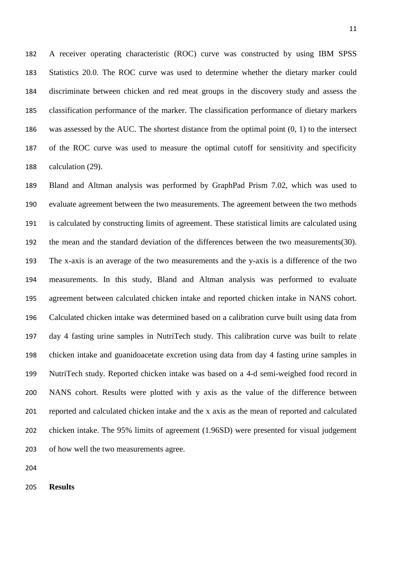A receiver operating characteristic (ROC) curve was constructed by using IBM SPSS Statistics 20.0. The ROC curve was used to determine whether the dietary marker could discriminate between chicken and red meat groups in the discovery study and assess the classification performance of the marker. The classification performance of dietary markers was assessed by the AUC. The shortest distance from the optimal point (0, 1) to the intersect of the ROC curve was used to measure the optimal cutoff for sensitivity and specificity calculation (29).

 Bland and Altman analysis was performed by GraphPad Prism 7.02, which was used to evaluate agreement between the two measurements. The agreement between the two methods is calculated by constructing limits of agreement. These statistical limits are calculated using the mean and the standard deviation of the differences between the two measurements(30). The x-axis is an average of the two measurements and the y-axis is a difference of the two measurements. In this study, Bland and Altman analysis was performed to evaluate agreement between calculated chicken intake and reported chicken intake in NANS cohort. Calculated chicken intake was determined based on a calibration curve built using data from day 4 fasting urine samples in NutriTech study. This calibration curve was built to relate chicken intake and guanidoacetate excretion using data from day 4 fasting urine samples in NutriTech study. Reported chicken intake was based on a 4-d semi-weighed food record in NANS cohort. Results were plotted with y axis as the value of the difference between reported and calculated chicken intake and the x axis as the mean of reported and calculated chicken intake. The 95% limits of agreement (1.96SD) were presented for visual judgement of how well the two measurements agree.

**Results**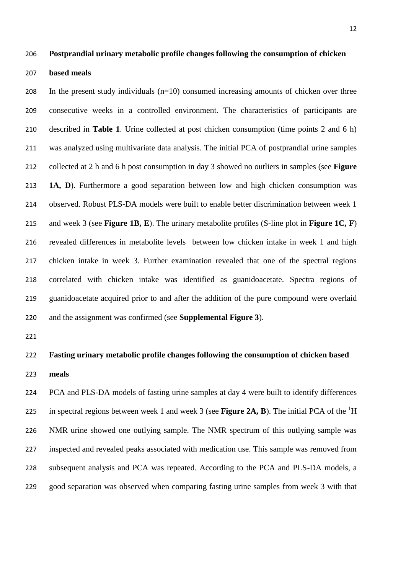#### **Postprandial urinary metabolic profile changes following the consumption of chicken**

#### **based meals**

 In the present study individuals (n=10) consumed increasing amounts of chicken over three consecutive weeks in a controlled environment. The characteristics of participants are described in **Table 1**. Urine collected at post chicken consumption (time points 2 and 6 h) was analyzed using multivariate data analysis. The initial PCA of postprandial urine samples collected at 2 h and 6 h post consumption in day 3 showed no outliers in samples (see **Figure 1A, D**). Furthermore a good separation between low and high chicken consumption was observed. Robust PLS-DA models were built to enable better discrimination between week 1 and week 3 (see **Figure 1B, E**). The urinary metabolite profiles (S-line plot in **Figure 1C, F**) revealed differences in metabolite levels between low chicken intake in week 1 and high chicken intake in week 3. Further examination revealed that one of the spectral regions correlated with chicken intake was identified as guanidoacetate. Spectra regions of guanidoacetate acquired prior to and after the addition of the pure compound were overlaid and the assignment was confirmed (see **Supplemental Figure 3**).

# **Fasting urinary metabolic profile changes following the consumption of chicken based meals**

224 PCA and PLS-DA models of fasting urine samples at day 4 were built to identify differences 225 in spectral regions between week 1 and week 3 (see **Figure 2A, B**). The initial PCA of the  ${}^{1}H$  NMR urine showed one outlying sample. The NMR spectrum of this outlying sample was inspected and revealed peaks associated with medication use. This sample was removed from subsequent analysis and PCA was repeated. According to the PCA and PLS-DA models, a good separation was observed when comparing fasting urine samples from week 3 with that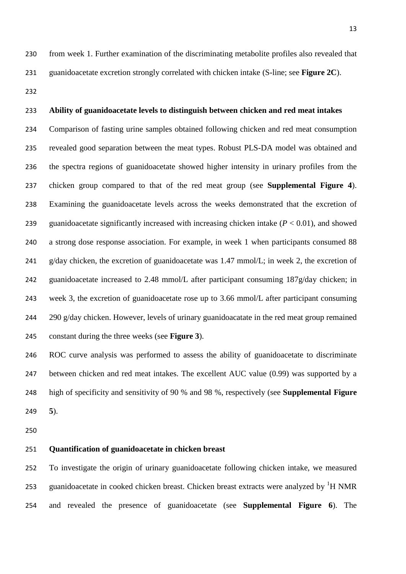from week 1. Further examination of the discriminating metabolite profiles also revealed that guanidoacetate excretion strongly correlated with chicken intake (S-line; see **Figure 2C**).

## **Ability of guanidoacetate levels to distinguish between chicken and red meat intakes**

 Comparison of fasting urine samples obtained following chicken and red meat consumption revealed good separation between the meat types. Robust PLS-DA model was obtained and the spectra regions of guanidoacetate showed higher intensity in urinary profiles from the chicken group compared to that of the red meat group (see **Supplemental Figure 4**). Examining the guanidoacetate levels across the weeks demonstrated that the excretion of 239 guanidoacetate significantly increased with increasing chicken intake  $(P < 0.01)$ , and showed a strong dose response association. For example, in week 1 when participants consumed 88 g/day chicken, the excretion of guanidoacetate was 1.47 mmol/L; in week 2, the excretion of guanidoacetate increased to 2.48 mmol/L after participant consuming 187g/day chicken; in week 3, the excretion of guanidoacetate rose up to 3.66 mmol/L after participant consuming 290 g/day chicken. However, levels of urinary guanidoacatate in the red meat group remained constant during the three weeks (see **Figure 3**).

 ROC curve analysis was performed to assess the ability of guanidoacetate to discriminate between chicken and red meat intakes. The excellent AUC value (0.99) was supported by a high of specificity and sensitivity of 90 % and 98 %, respectively (see **Supplemental Figure 5**).

## **Quantification of guanidoacetate in chicken breast**

 To investigate the origin of urinary guanidoacetate following chicken intake, we measured 253 guanidoacetate in cooked chicken breast. Chicken breast extracts were analyzed by  ${}^{1}H$  NMR and revealed the presence of guanidoacetate (see **Supplemental Figure 6**). The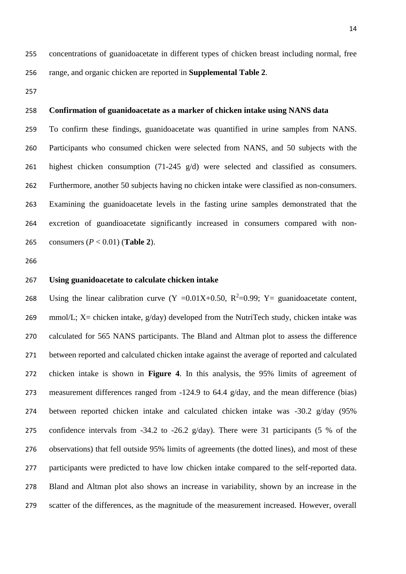concentrations of guanidoacetate in different types of chicken breast including normal, free range, and organic chicken are reported in **Supplemental Table 2**.

## **Confirmation of guanidoacetate as a marker of chicken intake using NANS data**

 To confirm these findings, guanidoacetate was quantified in urine samples from NANS. Participants who consumed chicken were selected from NANS, and 50 subjects with the highest chicken consumption (71-245 g/d) were selected and classified as consumers. Furthermore, another 50 subjects having no chicken intake were classified as non-consumers. Examining the guanidoacetate levels in the fasting urine samples demonstrated that the excretion of guandioacetate significantly increased in consumers compared with non-consumers (*P* < 0.01) (**Table 2**).

### **Using guanidoacetate to calculate chicken intake**

268 Using the linear calibration curve  $(Y = 0.01X + 0.50, R^2 = 0.99; Y =$  guanidoacetate content, 269 mmol/L;  $X =$  chicken intake,  $g$ /day) developed from the NutriTech study, chicken intake was calculated for 565 NANS participants. The Bland and Altman plot to assess the difference between reported and calculated chicken intake against the average of reported and calculated chicken intake is shown in **Figure 4**. In this analysis, the 95% limits of agreement of measurement differences ranged from -124.9 to 64.4 g/day, and the mean difference (bias) between reported chicken intake and calculated chicken intake was -30.2 g/day (95% confidence intervals from -34.2 to -26.2 g/day). There were 31 participants (5 % of the observations) that fell outside 95% limits of agreements (the dotted lines), and most of these participants were predicted to have low chicken intake compared to the self-reported data. Bland and Altman plot also shows an increase in variability, shown by an increase in the scatter of the differences, as the magnitude of the measurement increased. However, overall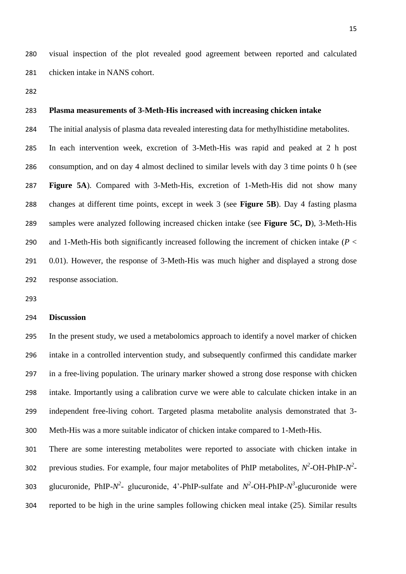visual inspection of the plot revealed good agreement between reported and calculated chicken intake in NANS cohort.

## **Plasma measurements of 3-Meth-His increased with increasing chicken intake**

The initial analysis of plasma data revealed interesting data for methylhistidine metabolites.

 In each intervention week, excretion of 3-Meth-His was rapid and peaked at 2 h post consumption, and on day 4 almost declined to similar levels with day 3 time points 0 h (see **Figure 5A**). Compared with 3-Meth-His, excretion of 1-Meth-His did not show many changes at different time points, except in week 3 (see **Figure 5B**). Day 4 fasting plasma samples were analyzed following increased chicken intake (see **Figure 5C, D**), 3-Meth-His and 1-Meth-His both significantly increased following the increment of chicken intake (*P* < 0.01). However, the response of 3-Meth-His was much higher and displayed a strong dose response association.

#### **Discussion**

 In the present study, we used a metabolomics approach to identify a novel marker of chicken intake in a controlled intervention study, and subsequently confirmed this candidate marker in a free-living population. The urinary marker showed a strong dose response with chicken intake. Importantly using a calibration curve we were able to calculate chicken intake in an independent free-living cohort. Targeted plasma metabolite analysis demonstrated that 3- Meth-His was a more suitable indicator of chicken intake compared to 1-Meth-His.

 There are some interesting metabolites were reported to associate with chicken intake in 302 previous studies. For example, four major metabolites of PhIP metabolites,  $N^2$ -OH-PhIP- $N^2$ -303 glucuronide, PhIP- $N^2$ - glucuronide, 4'-PhIP-sulfate and  $N^2$ -OH-PhIP- $N^3$ -glucuronide were reported to be high in the urine samples following chicken meal intake (25). Similar results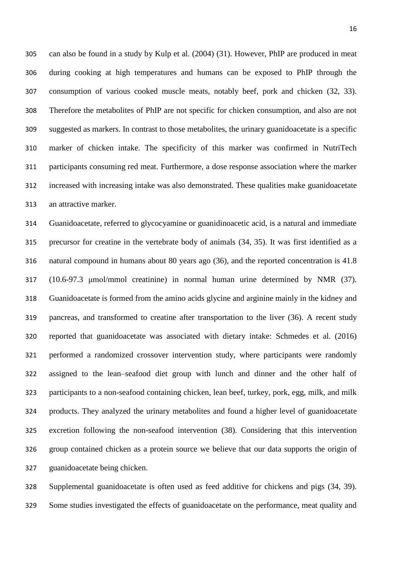can also be found in a study by Kulp et al. (2004) (31). However, PhIP are produced in meat during cooking at high temperatures and humans can be exposed to PhIP through the consumption of various cooked muscle meats, notably beef, pork and chicken (32, 33). Therefore the metabolites of PhIP are not specific for chicken consumption, and also are not suggested as markers. In contrast to those metabolites, the urinary guanidoacetate is a specific marker of chicken intake. The specificity of this marker was confirmed in NutriTech participants consuming red meat. Furthermore, a dose response association where the marker increased with increasing intake was also demonstrated. These qualities make guanidoacetate an attractive marker.

 Guanidoacetate, referred to glycocyamine or guanidinoacetic acid, is a natural and immediate precursor for creatine in the vertebrate body of animals (34, 35). It was first identified as a natural compound in humans about 80 years ago (36), and the reported concentration is 41.8 (10.6-97.3 μmol/mmol creatinine) in normal human urine determined by NMR (37). Guanidoacetate is formed from the amino acids glycine and arginine mainly in the kidney and pancreas, and transformed to creatine after transportation to the liver (36). A recent study reported that guanidoacetate was associated with dietary intake: Schmedes et al. (2016) performed a randomized crossover intervention study, where participants were randomly assigned to the lean–seafood diet group with lunch and dinner and the other half of participants to a non-seafood containing chicken, lean beef, turkey, pork, egg, milk, and milk products. They analyzed the urinary metabolites and found a higher level of guanidoacetate excretion following the non-seafood intervention (38). Considering that this intervention group contained chicken as a protein source we believe that our data supports the origin of guanidoacetate being chicken.

 Supplemental guanidoacetate is often used as feed additive for chickens and pigs (34, 39). Some studies investigated the effects of guanidoacetate on the performance, meat quality and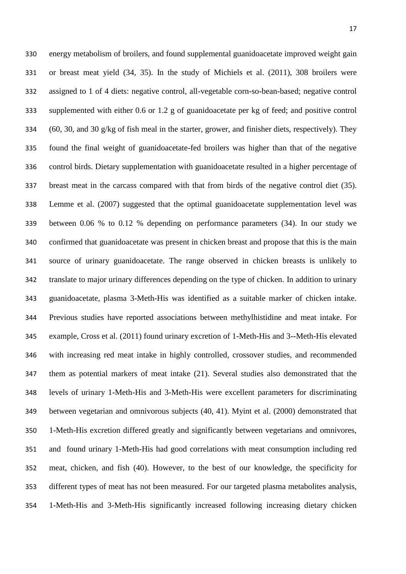energy metabolism of broilers, and found supplemental guanidoacetate improved weight gain or breast meat yield (34, 35). In the study of Michiels et al. (2011), 308 broilers were assigned to 1 of 4 diets: negative control, all-vegetable corn-so-bean-based; negative control supplemented with either 0.6 or 1.2 g of guanidoacetate per kg of feed; and positive control (60, 30, and 30 g/kg of fish meal in the starter, grower, and finisher diets, respectively). They found the final weight of guanidoacetate-fed broilers was higher than that of the negative control birds. Dietary supplementation with guanidoacetate resulted in a higher percentage of breast meat in the carcass compared with that from birds of the negative control diet (35). Lemme et al. (2007) suggested that the optimal guanidoacetate supplementation level was between 0.06 % to 0.12 % depending on performance parameters (34). In our study we confirmed that guanidoacetate was present in chicken breast and propose that this is the main source of urinary guanidoacetate. The range observed in chicken breasts is unlikely to translate to major urinary differences depending on the type of chicken. In addition to urinary guanidoacetate, plasma 3-Meth-His was identified as a suitable marker of chicken intake. Previous studies have reported associations between methylhistidine and meat intake. For example, Cross et al. (2011) found urinary excretion of 1-Meth-His and 3--Meth-His elevated with increasing red meat intake in highly controlled, crossover studies, and recommended them as potential markers of meat intake (21). Several studies also demonstrated that the levels of urinary 1-Meth-His and 3-Meth-His were excellent parameters for discriminating between vegetarian and omnivorous subjects (40, 41). Myint et al. (2000) demonstrated that 1-Meth-His excretion differed greatly and significantly between vegetarians and omnivores, and found urinary 1-Meth-His had good correlations with meat consumption including red meat, chicken, and fish (40). However, to the best of our knowledge, the specificity for different types of meat has not been measured. For our targeted plasma metabolites analysis, 1-Meth-His and 3-Meth-His significantly increased following increasing dietary chicken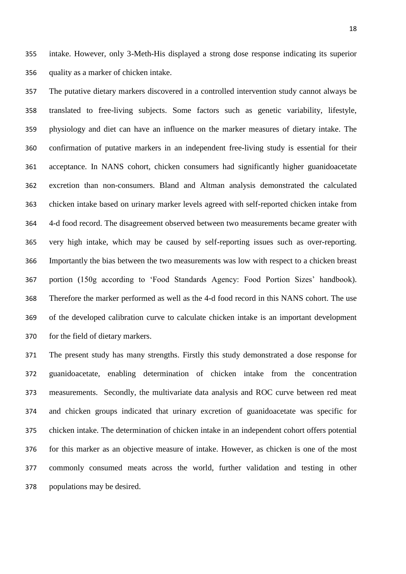intake. However, only 3-Meth-His displayed a strong dose response indicating its superior quality as a marker of chicken intake.

 The putative dietary markers discovered in a controlled intervention study cannot always be translated to free-living subjects. Some factors such as genetic variability, lifestyle, physiology and diet can have an influence on the marker measures of dietary intake. The confirmation of putative markers in an independent free-living study is essential for their acceptance. In NANS cohort, chicken consumers had significantly higher guanidoacetate excretion than non-consumers. Bland and Altman analysis demonstrated the calculated chicken intake based on urinary marker levels agreed with self-reported chicken intake from 4-d food record. The disagreement observed between two measurements became greater with very high intake, which may be caused by self-reporting issues such as over-reporting. Importantly the bias between the two measurements was low with respect to a chicken breast portion (150g according to 'Food Standards Agency: Food Portion Sizes' handbook). Therefore the marker performed as well as the 4-d food record in this NANS cohort. The use of the developed calibration curve to calculate chicken intake is an important development for the field of dietary markers.

 The present study has many strengths. Firstly this study demonstrated a dose response for guanidoacetate, enabling determination of chicken intake from the concentration measurements. Secondly, the multivariate data analysis and ROC curve between red meat and chicken groups indicated that urinary excretion of guanidoacetate was specific for chicken intake. The determination of chicken intake in an independent cohort offers potential for this marker as an objective measure of intake. However, as chicken is one of the most commonly consumed meats across the world, further validation and testing in other populations may be desired.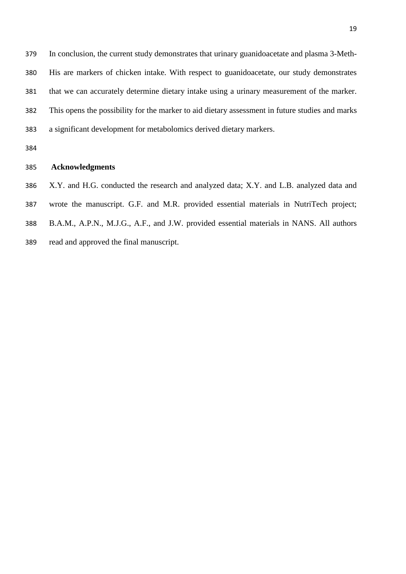In conclusion, the current study demonstrates that urinary guanidoacetate and plasma 3-Meth- His are markers of chicken intake. With respect to guanidoacetate, our study demonstrates that we can accurately determine dietary intake using a urinary measurement of the marker. This opens the possibility for the marker to aid dietary assessment in future studies and marks a significant development for metabolomics derived dietary markers.

### **Acknowledgments**

X.Y. and H.G. conducted the research and analyzed data; X.Y. and L.B. analyzed data and

wrote the manuscript. G.F. and M.R. provided essential materials in NutriTech project;

- B.A.M., A.P.N., M.J.G., A.F., and J.W. provided essential materials in NANS. All authors
- read and approved the final manuscript.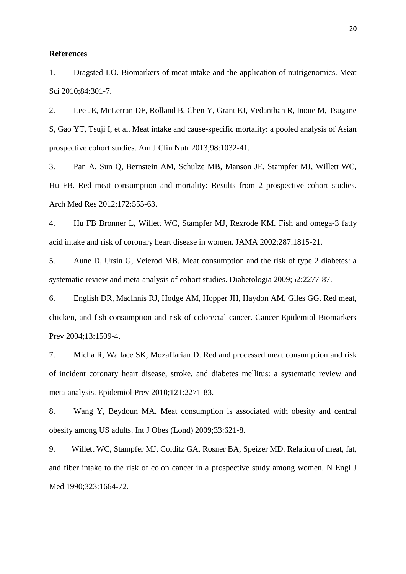#### **References**

1. Dragsted LO. Biomarkers of meat intake and the application of nutrigenomics. Meat Sci 2010;84:301-7.

2. Lee JE, McLerran DF, Rolland B, Chen Y, Grant EJ, Vedanthan R, Inoue M, Tsugane S, Gao YT, Tsuji I, et al. Meat intake and cause-specific mortality: a pooled analysis of Asian prospective cohort studies. Am J Clin Nutr 2013;98:1032-41.

3. Pan A, Sun Q, Bernstein AM, Schulze MB, Manson JE, Stampfer MJ, Willett WC, Hu FB. Red meat consumption and mortality: Results from 2 prospective cohort studies. Arch Med Res 2012;172:555-63.

4. Hu FB Bronner L, Willett WC, Stampfer MJ, Rexrode KM. Fish and omega-3 fatty acid intake and risk of coronary heart disease in women. JAMA 2002;287:1815-21.

5. Aune D, Ursin G, Veierod MB. Meat consumption and the risk of type 2 diabetes: a systematic review and meta-analysis of cohort studies. Diabetologia 2009;52:2277-87.

6. English DR, Maclnnis RJ, Hodge AM, Hopper JH, Haydon AM, Giles GG. Red meat, chicken, and fish consumption and risk of colorectal cancer. Cancer Epidemiol Biomarkers Prev 2004;13:1509-4.

7. Micha R, Wallace SK, Mozaffarian D. Red and processed meat consumption and risk of incident coronary heart disease, stroke, and diabetes mellitus: a systematic review and meta-analysis. Epidemiol Prev 2010;121:2271-83.

8. Wang Y, Beydoun MA. Meat consumption is associated with obesity and central obesity among US adults. Int J Obes (Lond) 2009;33:621-8.

9. Willett WC, Stampfer MJ, Colditz GA, Rosner BA, Speizer MD. Relation of meat, fat, and fiber intake to the risk of colon cancer in a prospective study among women. N Engl J Med 1990;323:1664-72.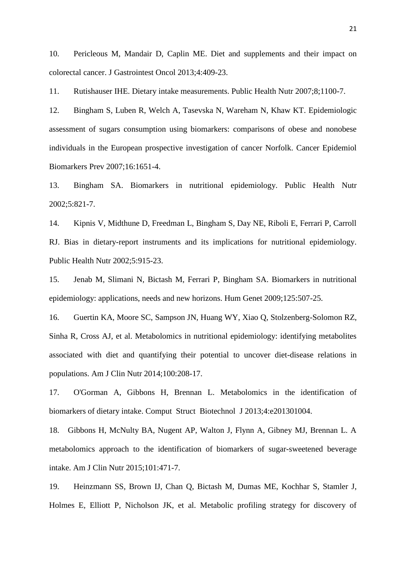10. Pericleous M, Mandair D, Caplin ME. Diet and supplements and their impact on colorectal cancer. J Gastrointest Oncol 2013;4:409-23.

11. Rutishauser IHE. Dietary intake measurements. Public Health Nutr 2007;8;1100-7.

12. Bingham S, Luben R, Welch A, Tasevska N, Wareham N, Khaw KT. Epidemiologic assessment of sugars consumption using biomarkers: comparisons of obese and nonobese individuals in the European prospective investigation of cancer Norfolk. Cancer Epidemiol Biomarkers Prev 2007;16:1651-4.

13. Bingham SA. Biomarkers in nutritional epidemiology. Public Health Nutr 2002;5:821-7.

14. Kipnis V, Midthune D, Freedman L, Bingham S, Day NE, Riboli E, Ferrari P, Carroll RJ. Bias in dietary-report instruments and its implications for nutritional epidemiology. Public Health Nutr 2002;5:915-23.

15. Jenab M, Slimani N, Bictash M, Ferrari P, Bingham SA. Biomarkers in nutritional epidemiology: applications, needs and new horizons. Hum Genet 2009;125:507-25.

16. Guertin KA, Moore SC, Sampson JN, Huang WY, Xiao Q, Stolzenberg-Solomon RZ, Sinha R, Cross AJ, et al. Metabolomics in nutritional epidemiology: identifying metabolites associated with diet and quantifying their potential to uncover diet-disease relations in populations. Am J Clin Nutr 2014;100:208-17.

17. O'Gorman A, Gibbons H, Brennan L. Metabolomics in the identification of biomarkers of dietary intake. Comput Struct Biotechnol J 2013;4:e201301004.

18. Gibbons H, McNulty BA, Nugent AP, Walton J, Flynn A, Gibney MJ, Brennan L. A metabolomics approach to the identification of biomarkers of sugar-sweetened beverage intake. Am J Clin Nutr 2015;101:471-7.

19. Heinzmann SS, Brown IJ, Chan Q, Bictash M, Dumas ME, Kochhar S, Stamler J, Holmes E, Elliott P, Nicholson JK, et al. Metabolic profiling strategy for discovery of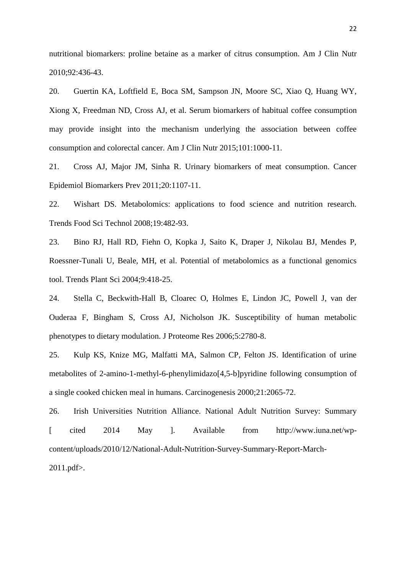nutritional biomarkers: proline betaine as a marker of citrus consumption. Am J Clin Nutr 2010;92:436-43.

20. Guertin KA, Loftfield E, Boca SM, Sampson JN, Moore SC, Xiao Q, Huang WY, Xiong X, Freedman ND, Cross AJ, et al. Serum biomarkers of habitual coffee consumption may provide insight into the mechanism underlying the association between coffee consumption and colorectal cancer. Am J Clin Nutr 2015;101:1000-11.

21. Cross AJ, Major JM, Sinha R. Urinary biomarkers of meat consumption. Cancer Epidemiol Biomarkers Prev 2011;20:1107-11.

22. Wishart DS. Metabolomics: applications to food science and nutrition research. Trends Food Sci Technol 2008;19:482-93.

23. Bino RJ, Hall RD, Fiehn O, Kopka J, Saito K, Draper J, Nikolau BJ, Mendes P, Roessner-Tunali U, Beale, MH, et al. Potential of metabolomics as a functional genomics tool. Trends Plant Sci 2004;9:418-25.

24. Stella C, Beckwith-Hall B, Cloarec O, Holmes E, Lindon JC, Powell J, van der Ouderaa F, Bingham S, Cross AJ, Nicholson JK. Susceptibility of human metabolic phenotypes to dietary modulation. J Proteome Res 2006;5:2780-8.

25. Kulp KS, Knize MG, Malfatti MA, Salmon CP, Felton JS. Identification of urine metabolites of 2-amino-1-methyl-6-phenylimidazo[4,5-b]pyridine following consumption of a single cooked chicken meal in humans. Carcinogenesis 2000;21:2065-72.

26. Irish Universities Nutrition Alliance. National Adult Nutrition Survey: Summary [ cited 2014 May ]. Available from http://www.iuna.net/wpcontent/uploads/2010/12/National-Adult-Nutrition-Survey-Summary-Report-March-2011.pdf>.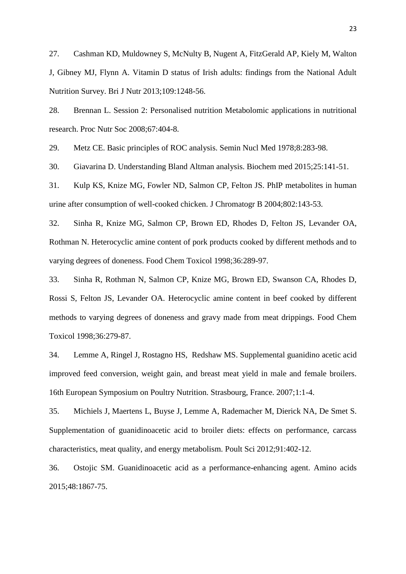27. Cashman KD, Muldowney S, McNulty B, Nugent A, FitzGerald AP, Kiely M, Walton J, Gibney MJ, Flynn A. Vitamin D status of Irish adults: findings from the National Adult Nutrition Survey. Bri J Nutr 2013;109:1248-56.

28. Brennan L. Session 2: Personalised nutrition Metabolomic applications in nutritional research. Proc Nutr Soc 2008;67:404-8.

29. Metz CE. Basic principles of ROC analysis. Semin Nucl Med 1978;8:283-98.

30. Giavarina D. Understanding Bland Altman analysis. Biochem med 2015;25:141-51.

31. Kulp KS, Knize MG, Fowler ND, Salmon CP, Felton JS. PhIP metabolites in human urine after consumption of well-cooked chicken. J Chromatogr B 2004;802:143-53.

32. Sinha R, Knize MG, Salmon CP, Brown ED, Rhodes D, Felton JS, Levander OA, Rothman N. Heterocyclic amine content of pork products cooked by different methods and to varying degrees of doneness. Food Chem Toxicol 1998;36:289-97.

33. Sinha R, Rothman N, Salmon CP, Knize MG, Brown ED, Swanson CA, Rhodes D, Rossi S, Felton JS, Levander OA. Heterocyclic amine content in beef cooked by different methods to varying degrees of doneness and gravy made from meat drippings. Food Chem Toxicol 1998;36:279-87.

34. Lemme A, Ringel J, Rostagno HS, Redshaw MS. Supplemental guanidino acetic acid improved feed conversion, weight gain, and breast meat yield in male and female broilers. 16th European Symposium on Poultry Nutrition. Strasbourg, France. 2007;1:1-4.

35. Michiels J, Maertens L, Buyse J, Lemme A, Rademacher M, Dierick NA, De Smet S. Supplementation of guanidinoacetic acid to broiler diets: effects on performance, carcass characteristics, meat quality, and energy metabolism. Poult Sci 2012;91:402-12.

36. Ostojic SM. Guanidinoacetic acid as a performance-enhancing agent. Amino acids 2015;48:1867-75.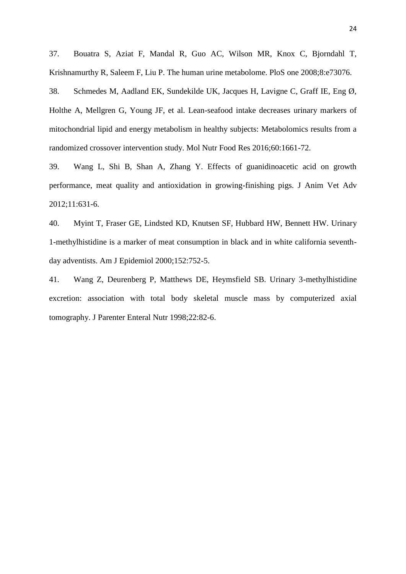37. Bouatra S, Aziat F, Mandal R, Guo AC, Wilson MR, Knox C, Bjorndahl T, Krishnamurthy R, Saleem F, Liu P. The human urine metabolome. PloS one 2008;8:e73076.

38. Schmedes M, Aadland EK, Sundekilde UK, Jacques H, Lavigne C, Graff IE, Eng Ø, Holthe A, Mellgren G, Young JF, et al. Lean-seafood intake decreases urinary markers of mitochondrial lipid and energy metabolism in healthy subjects: Metabolomics results from a randomized crossover intervention study. Mol Nutr Food Res 2016;60:1661-72.

39. Wang L, Shi B, Shan A, Zhang Y. Effects of guanidinoacetic acid on growth performance, meat quality and antioxidation in growing-finishing pigs. J Anim Vet Adv 2012;11:631-6.

40. Myint T, Fraser GE, Lindsted KD, Knutsen SF, Hubbard HW, Bennett HW. Urinary 1-methylhistidine is a marker of meat consumption in black and in white california seventhday adventists. Am J Epidemiol 2000;152:752-5.

41. Wang Z, Deurenberg P, Matthews DE, Heymsfield SB. Urinary 3-methylhistidine excretion: association with total body skeletal muscle mass by computerized axial tomography. J Parenter Enteral Nutr 1998;22:82-6.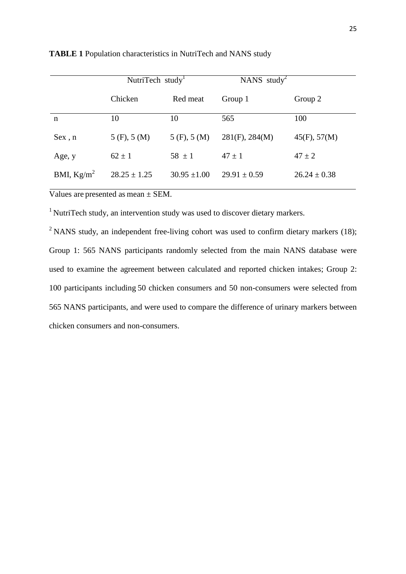|               | NutriTech study <sup>1</sup> |                  | NANS study <sup>2</sup> |                  |
|---------------|------------------------------|------------------|-------------------------|------------------|
|               | Chicken                      | Red meat         | Group 1                 | Group 2          |
| n             | 10                           | 10               | 565                     | 100              |
| Sex, n        | 5(F), 5(M)                   | 5(F), 5(M)       | $281(F)$ , $284(M)$     | 45(F), 57(M)     |
| Age, y        | $62 \pm 1$                   | $58 \pm 1$       | $47 \pm 1$              | $47 \pm 2$       |
| BMI, $Kg/m^2$ | $28.25 \pm 1.25$             | $30.95 \pm 1.00$ | $29.91 \pm 0.59$        | $26.24 \pm 0.38$ |

#### **TABLE 1** Population characteristics in NutriTech and NANS study

Values are presented as mean ± SEM.

<sup>1</sup> NutriTech study, an intervention study was used to discover dietary markers.

 $2$  NANS study, an independent free-living cohort was used to confirm dietary markers (18); Group 1: 565 NANS participants randomly selected from the main NANS database were used to examine the agreement between calculated and reported chicken intakes; Group 2: 100 participants including 50 chicken consumers and 50 non-consumers were selected from 565 NANS participants, and were used to compare the difference of urinary markers between chicken consumers and non-consumers.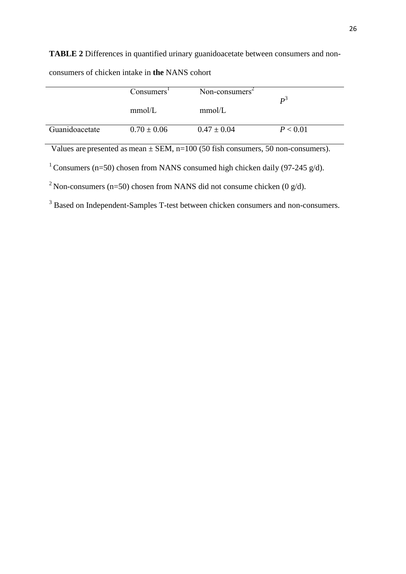**TABLE 2** Differences in quantified urinary guanidoacetate between consumers and nonconsumers of chicken intake in **the** NANS cohort

|                | Consumes <sup>1</sup> | Non-consumers $\sim$ | $\mathbf{D}^3$ |
|----------------|-----------------------|----------------------|----------------|
|                | mmol/L                | mmol/L               |                |
| Guanidoacetate | $0.70 \pm 0.06$       | $0.47 \pm 0.04$      | P < 0.01       |

Values are presented as mean  $\pm$  SEM, n=100 (50 fish consumers, 50 non-consumers).

<sup>1</sup> Consumers (n=50) chosen from NANS consumed high chicken daily (97-245 g/d).

<sup>2</sup> Non-consumers (n=50) chosen from NANS did not consume chicken (0 g/d).

<sup>3</sup> Based on Independent-Samples T-test between chicken consumers and non-consumers.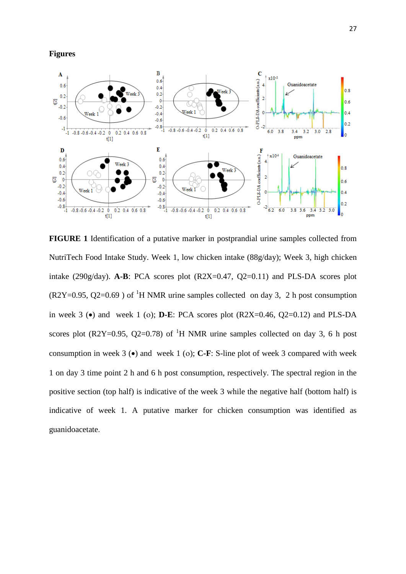## **Figures**



**FIGURE 1** Identification of a putative marker in postprandial urine samples collected from NutriTech Food Intake Study. Week 1, low chicken intake (88g/day); Week 3, high chicken intake (290g/day). **A-B**: PCA scores plot (R2X=0.47, Q2=0.11) and PLS-DA scores plot  $(R2Y=0.95, Q2=0.69)$  of <sup>1</sup>H NMR urine samples collected on day 3, 2 h post consumption in week 3  $\bullet$  and week 1  $\circ$ ; **D-E**: PCA scores plot  $\left(R2X=0.46, Q2=0.12\right)$  and PLS-DA scores plot (R2Y=0.95, O2=0.78) of <sup>1</sup>H NMR urine samples collected on day 3, 6 h post consumption in week  $3$  ( $\bullet$ ) and week 1 (o); **C-F**: S-line plot of week 3 compared with week 1 on day 3 time point 2 h and 6 h post consumption, respectively. The spectral region in the positive section (top half) is indicative of the week 3 while the negative half (bottom half) is indicative of week 1. A putative marker for chicken consumption was identified as guanidoacetate.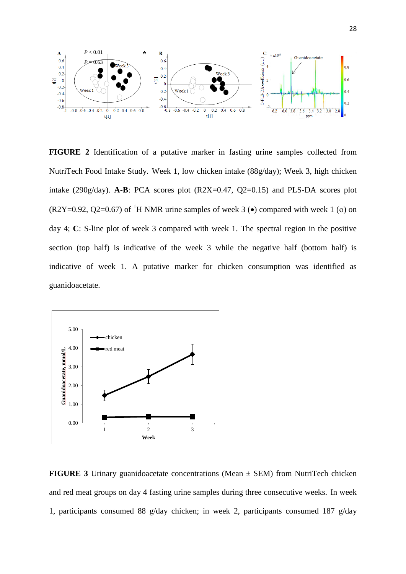

**FIGURE 2** Identification of a putative marker in fasting urine samples collected from NutriTech Food Intake Study. Week 1, low chicken intake (88g/day); Week 3, high chicken intake (290g/day). **A-B**: PCA scores plot (R2X=0.47, Q2=0.15) and PLS-DA scores plot (R2Y=0.92, Q2=0.67) of <sup>1</sup>H NMR urine samples of week 3  $\bullet$ ) compared with week 1 (o) on day 4; **C**: S-line plot of week 3 compared with week 1. The spectral region in the positive section (top half) is indicative of the week 3 while the negative half (bottom half) is indicative of week 1. A putative marker for chicken consumption was identified as guanidoacetate.



**FIGURE** 3 Urinary guanidoacetate concentrations (Mean  $\pm$  SEM) from NutriTech chicken and red meat groups on day 4 fasting urine samples during three consecutive weeks. In week 1, participants consumed 88 g/day chicken; in week 2, participants consumed 187 g/day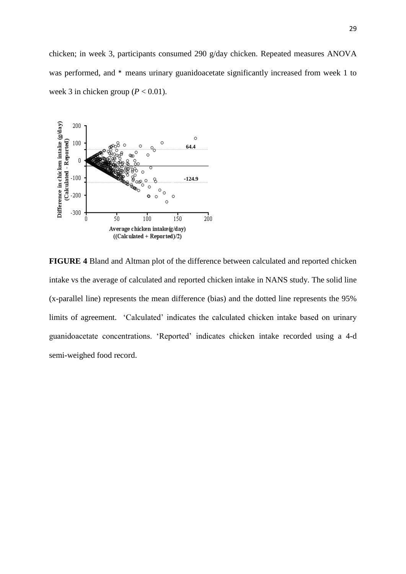chicken; in week 3, participants consumed 290 g/day chicken. Repeated measures ANOVA was performed, and  $*$  means urinary guanidoacetate significantly increased from week 1 to week 3 in chicken group ( $P < 0.01$ ).



**FIGURE 4** Bland and Altman plot of the difference between calculated and reported chicken intake vs the average of calculated and reported chicken intake in NANS study. The solid line (x-parallel line) represents the mean difference (bias) and the dotted line represents the 95% limits of agreement. 'Calculated' indicates the calculated chicken intake based on urinary guanidoacetate concentrations. 'Reported' indicates chicken intake recorded using a 4-d semi-weighed food record.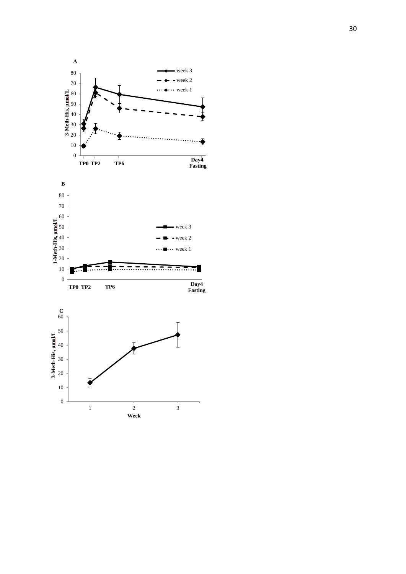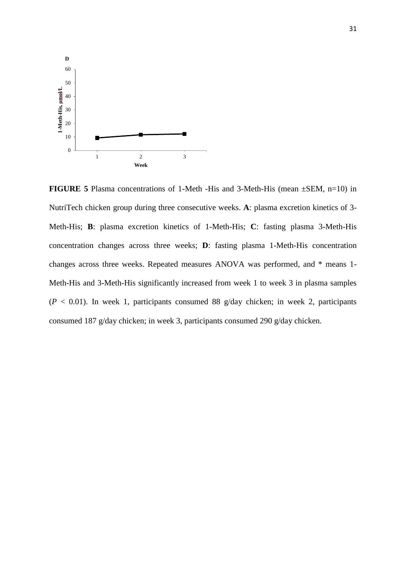

**FIGURE 5** Plasma concentrations of 1-Meth -His and 3-Meth-His (mean ±SEM, n=10) in NutriTech chicken group during three consecutive weeks. **A**: plasma excretion kinetics of 3- Meth-His; **B**: plasma excretion kinetics of 1-Meth-His; **C**: fasting plasma 3-Meth-His concentration changes across three weeks; **D**: fasting plasma 1-Meth-His concentration changes across three weeks. Repeated measures ANOVA was performed, and \* means 1- Meth-His and 3-Meth-His significantly increased from week 1 to week 3 in plasma samples  $(P < 0.01)$ . In week 1, participants consumed 88 g/day chicken; in week 2, participants consumed 187 g/day chicken; in week 3, participants consumed 290 g/day chicken.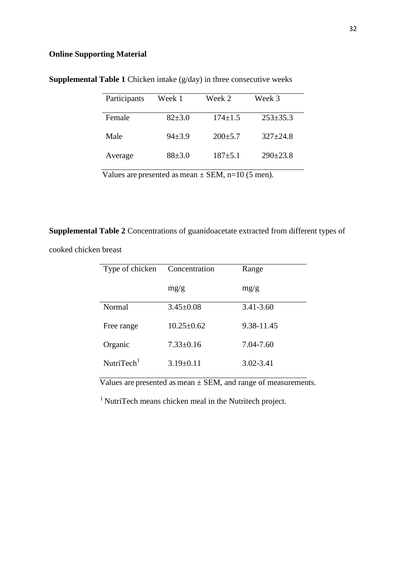# **Online Supporting Material**

| Participants | Week 1       | Week 2      | Week 3         |
|--------------|--------------|-------------|----------------|
| Female       | $82+3.0$     | $174 + 1.5$ | $253 \pm 35.3$ |
| Male         | $94 \pm 3.9$ | $200\pm5.7$ | $327+24.8$     |
| Average      | $88 + 3.0$   | $187 + 5.1$ | $290 \pm 23.8$ |

**Supplemental Table 1** Chicken intake (g/day) in three consecutive weeks

Values are presented as mean  $\pm$  SEM, n=10 (5 men).

# **Supplemental Table 2** Concentrations of guanidoacetate extracted from different types of

cooked chicken breast

| Type of chicken           | Concentration    | Range      |
|---------------------------|------------------|------------|
|                           | mg/g             | mg/g       |
| Normal                    | $3.45 \pm 0.08$  | 3.41-3.60  |
| Free range                | $10.25 \pm 0.62$ | 9.38-11.45 |
| Organic                   | $7.33 \pm 0.16$  | 7.04-7.60  |
| $N$ utriTech <sup>1</sup> | $3.19 \pm 0.11$  | 3.02-3.41  |

Values are presented as mean ± SEM, and range of measurements.

<sup>1</sup> NutriTech means chicken meal in the Nutritech project.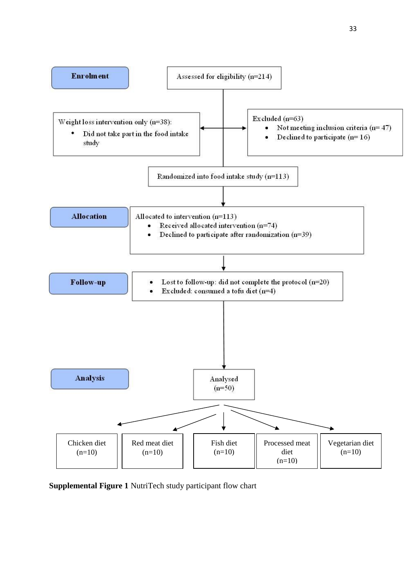

**Supplemental Figure 1** NutriTech study participant flow chart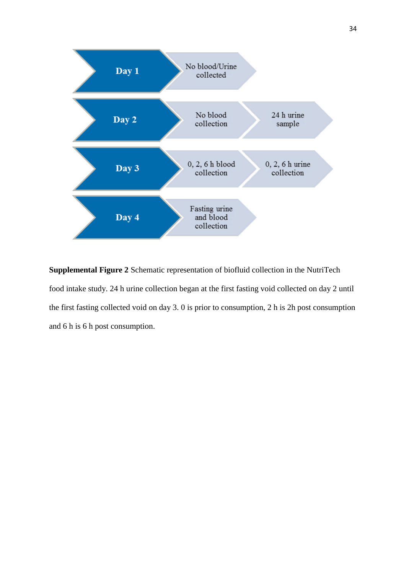

**Supplemental Figure 2** Schematic representation of biofluid collection in the NutriTech food intake study. 24 h urine collection began at the first fasting void collected on day 2 until the first fasting collected void on day 3. 0 is prior to consumption, 2 h is 2h post consumption and 6 h is 6 h post consumption.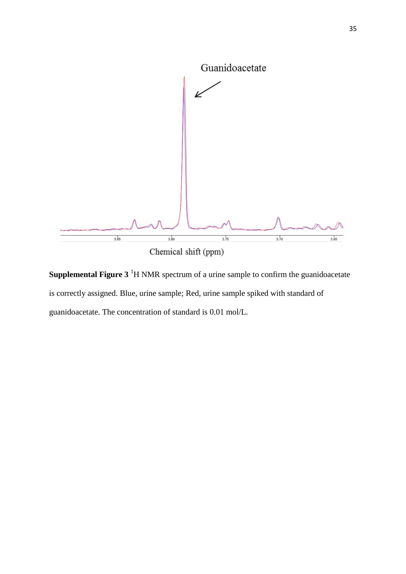

**Supplemental Figure 3**<sup>1</sup>H NMR spectrum of a urine sample to confirm the guanidoacetate is correctly assigned. Blue, urine sample; Red, urine sample spiked with standard of guanidoacetate. The concentration of standard is 0.01 mol/L.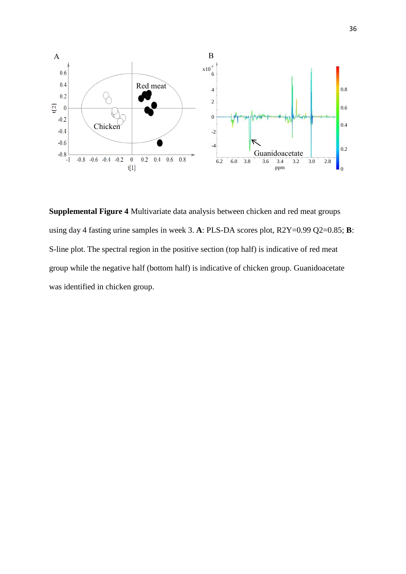

**Supplemental Figure 4** Multivariate data analysis between chicken and red meat groups using day 4 fasting urine samples in week 3. **A**: PLS-DA scores plot, R2Y=0.99 Q2=0.85; **B**: S-line plot. The spectral region in the positive section (top half) is indicative of red meat group while the negative half (bottom half) is indicative of chicken group. Guanidoacetate was identified in chicken group.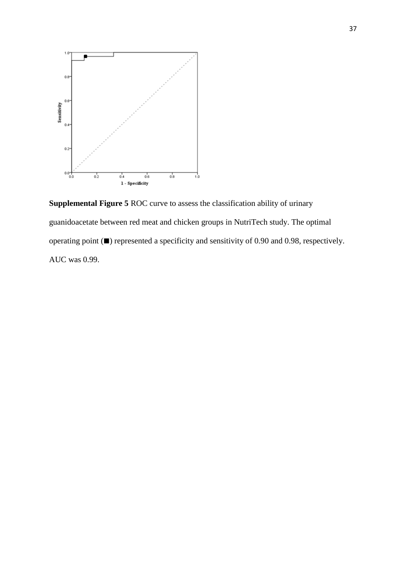

**Supplemental Figure 5** ROC curve to assess the classification ability of urinary guanidoacetate between red meat and chicken groups in NutriTech study. The optimal operating point  $(\blacksquare)$  represented a specificity and sensitivity of 0.90 and 0.98, respectively. AUC was 0.99.